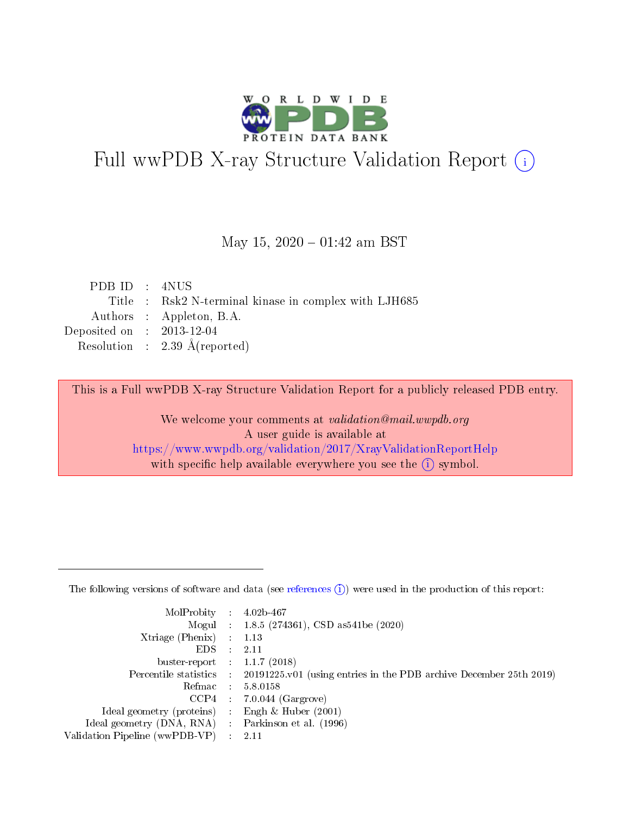

# Full wwPDB X-ray Structure Validation Report (i)

#### May 15,  $2020 - 01:42$  am BST

| PDB ID : 4NUS               |                                                       |
|-----------------------------|-------------------------------------------------------|
|                             | Title : Rsk2 N-terminal kinase in complex with LJH685 |
|                             | Authors : Appleton, B.A.                              |
| Deposited on : $2013-12-04$ |                                                       |
|                             | Resolution : $2.39 \text{ Å}(\text{reported})$        |

This is a Full wwPDB X-ray Structure Validation Report for a publicly released PDB entry.

We welcome your comments at validation@mail.wwpdb.org A user guide is available at <https://www.wwpdb.org/validation/2017/XrayValidationReportHelp> with specific help available everywhere you see the  $(i)$  symbol.

The following versions of software and data (see [references](https://www.wwpdb.org/validation/2017/XrayValidationReportHelp#references)  $(1)$ ) were used in the production of this report:

| MolProbity :                   |               | $4.02b - 467$                                                               |
|--------------------------------|---------------|-----------------------------------------------------------------------------|
|                                |               | Mogul : $1.8.5$ (274361), CSD as 541be (2020)                               |
| $X$ triage (Phenix) :          |               | 1.13                                                                        |
| EDS.                           |               | 2.11                                                                        |
| buster-report : $1.1.7$ (2018) |               |                                                                             |
| Percentile statistics :        |               | $20191225 \text{v}01$ (using entries in the PDB archive December 25th 2019) |
| Refmac :                       |               | 5.8.0158                                                                    |
| $CCP4$ :                       |               | $7.0.044$ (Gargrove)                                                        |
| Ideal geometry (proteins) :    |               | Engh $\&$ Huber (2001)                                                      |
| Ideal geometry (DNA, RNA) :    |               | Parkinson et al. (1996)                                                     |
| Validation Pipeline (wwPDB-VP) | $\mathcal{L}$ | 2.11                                                                        |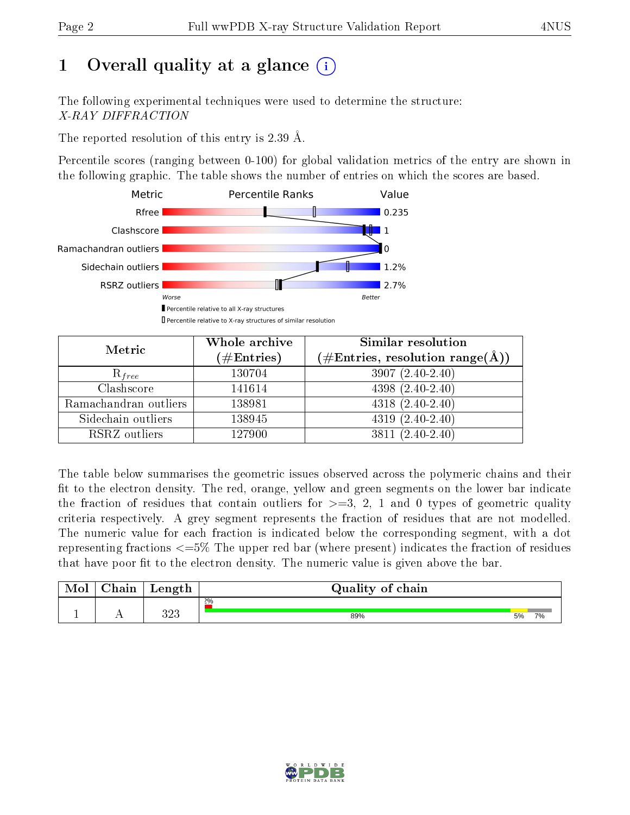# 1 [O](https://www.wwpdb.org/validation/2017/XrayValidationReportHelp#overall_quality)verall quality at a glance  $(i)$

The following experimental techniques were used to determine the structure: X-RAY DIFFRACTION

The reported resolution of this entry is 2.39 Å.

Percentile scores (ranging between 0-100) for global validation metrics of the entry are shown in the following graphic. The table shows the number of entries on which the scores are based.



| Metric                | Whole archive<br>$(\#\text{Entries})$ | <b>Similar resolution</b><br>$(\#\text{Entries}, \text{resolution range}(\text{\AA}))$ |
|-----------------------|---------------------------------------|----------------------------------------------------------------------------------------|
| $R_{free}$            | 130704                                | $3907(2.40-2.40)$                                                                      |
| Clashscore            | 141614                                | $4398(2.40-2.40)$                                                                      |
| Ramachandran outliers | 138981                                | $4318(2.40-2.40)$                                                                      |
| Sidechain outliers    | 138945                                | $4319(2.40-2.40)$                                                                      |
| RSRZ outliers         | 127900                                | $3811 (2.40 - 2.40)$                                                                   |

The table below summarises the geometric issues observed across the polymeric chains and their fit to the electron density. The red, orange, yellow and green segments on the lower bar indicate the fraction of residues that contain outliers for  $>=3, 2, 1$  and 0 types of geometric quality criteria respectively. A grey segment represents the fraction of residues that are not modelled. The numeric value for each fraction is indicated below the corresponding segment, with a dot representing fractions  $\epsilon=5\%$  The upper red bar (where present) indicates the fraction of residues that have poor fit to the electron density. The numeric value is given above the bar.

| Mol       | $\sim$ $\sim$<br>hain | Length     | Quality of chain |    |    |
|-----------|-----------------------|------------|------------------|----|----|
|           |                       |            | $2\%$            |    |    |
| <u>д.</u> | . .                   | າດາ<br>ں∠ں | 89%              | 5% | 7% |

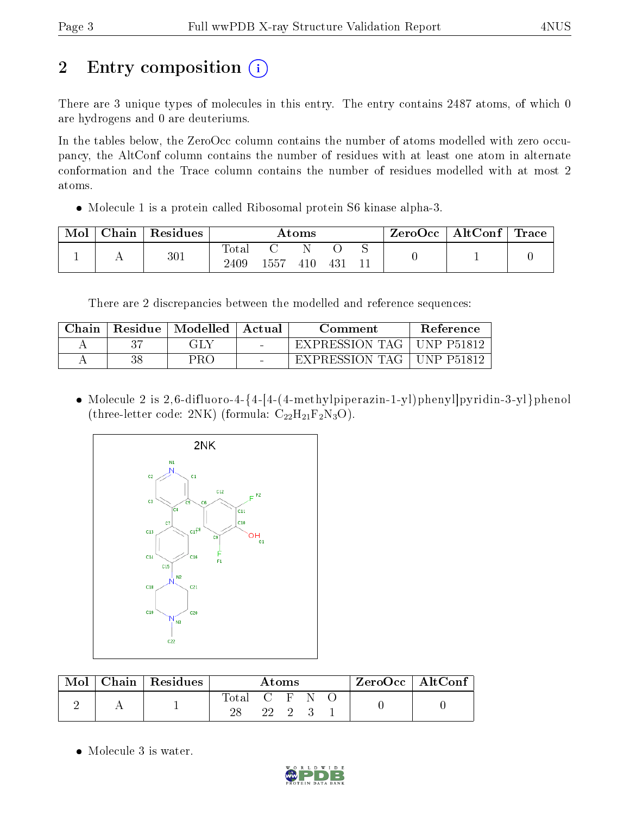# 2 Entry composition  $\left( \cdot \right)$

There are 3 unique types of molecules in this entry. The entry contains 2487 atoms, of which 0 are hydrogens and 0 are deuteriums.

In the tables below, the ZeroOcc column contains the number of atoms modelled with zero occupancy, the AltConf column contains the number of residues with at least one atom in alternate conformation and the Trace column contains the number of residues modelled with at most 2 atoms.

Molecule 1 is a protein called Ribosomal protein S6 kinase alpha-3.

| Mol | Chain | Residues | Atoms                |      |     |     |  | $\mid$ ZeroOcc $\mid$ AltConf $\mid$ Trace |  |
|-----|-------|----------|----------------------|------|-----|-----|--|--------------------------------------------|--|
|     |       | $301\,$  | $\rm{Total}$<br>2409 | 1557 | 410 | 43! |  |                                            |  |

There are 2 discrepancies between the modelled and reference sequences:

| Chain | Residue   Modelled | Actual                   | Comment        | Reference          |
|-------|--------------------|--------------------------|----------------|--------------------|
|       | GLY                |                          | EXPRESSION TAG | IINP P51812        |
|       | PRO                | $\overline{\phantom{0}}$ | EXPRESSION TAG | <b>IINP P51812</b> |

 Molecule 2 is 2,6-difluoro-4-{4-[4-(4-methylpiperazin-1-yl)phenyl]pyridin-3-yl}phenol (three-letter code: 2NK) (formula:  $C_{22}H_{21}F_2N_3O$ ).



| Mol | Chain   Residues ' | Atoms       |  |  |  | $ZeroOcc \mid AltConf \mid$ |  |
|-----|--------------------|-------------|--|--|--|-----------------------------|--|
|     |                    | Total C F N |  |  |  |                             |  |

• Molecule 3 is water.

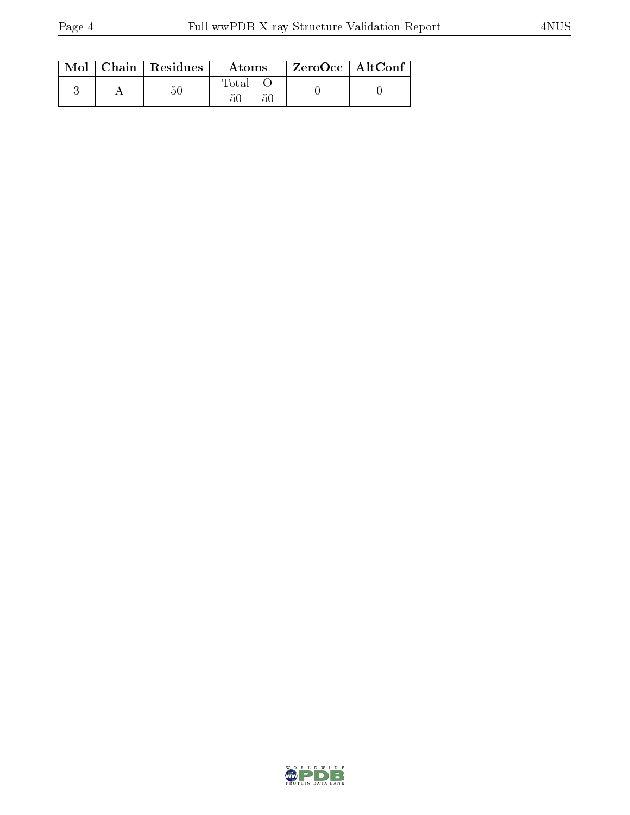|  | Mol   Chain   Residues | Atoms             | $\ $ ZeroOcc $\ $ AltConf |
|--|------------------------|-------------------|---------------------------|
|  | 50                     | Total<br>50<br>50 |                           |

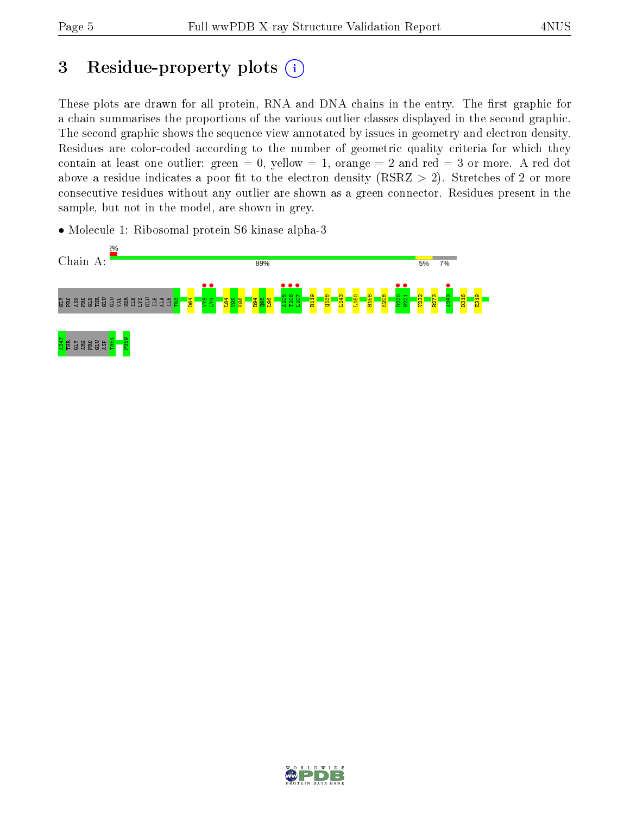## 3 Residue-property plots  $(i)$

These plots are drawn for all protein, RNA and DNA chains in the entry. The first graphic for a chain summarises the proportions of the various outlier classes displayed in the second graphic. The second graphic shows the sequence view annotated by issues in geometry and electron density. Residues are color-coded according to the number of geometric quality criteria for which they contain at least one outlier: green  $= 0$ , yellow  $= 1$ , orange  $= 2$  and red  $= 3$  or more. A red dot above a residue indicates a poor fit to the electron density (RSRZ  $> 2$ ). Stretches of 2 or more consecutive residues without any outlier are shown as a green connector. Residues present in the sample, but not in the model, are shown in grey.

• Molecule 1: Ribosomal protein S6 kinase alpha-3



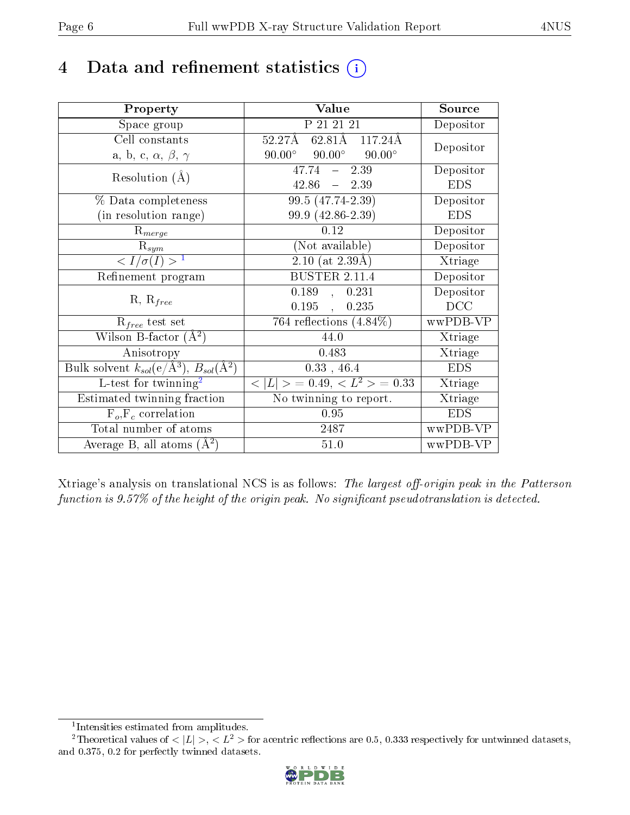## 4 Data and refinement statistics  $(i)$

| Property                                                         | Value                                            | Source     |
|------------------------------------------------------------------|--------------------------------------------------|------------|
| Space group                                                      | P 21 21 21                                       | Depositor  |
| Cell constants                                                   | $52.27\text{\AA}$ 62.81Å 117.24Å                 | Depositor  |
| a, b, c, $\alpha$ , $\beta$ , $\gamma$                           | $90.00^{\circ}$ $90.00^{\circ}$<br>$90.00^\circ$ |            |
| Resolution $(A)$                                                 | $-2.39$<br>47.74                                 | Depositor  |
|                                                                  | $42.86 - 2.39$                                   | <b>EDS</b> |
| $\%$ Data completeness                                           | $99.5(47.74-2.39)$                               | Depositor  |
| (in resolution range)                                            | 99.9 (42.86-2.39)                                | <b>EDS</b> |
| $R_{merge}$                                                      | 0.12                                             | Depositor  |
| $\mathrm{R}_{sym}$                                               | (Not available)                                  | Depositor  |
| $\langle I/\sigma(I) \rangle^{-1}$                               | $\sqrt{2.10 \text{ (at } 2.39\text{\AA})}$       | Xtriage    |
| Refinement program                                               | <b>BUSTER 2.11.4</b>                             | Depositor  |
|                                                                  | 0.189, 0.231                                     | Depositor  |
| $R, R_{free}$                                                    | $0.195$ ,<br>0.235                               | DCC        |
| $R_{free}$ test set                                              | $\overline{764}$ reflections $(4.84\%)$          | wwPDB-VP   |
| Wilson B-factor $(A^2)$                                          | 44.0                                             | Xtriage    |
| Anisotropy                                                       | 0.483                                            | Xtriage    |
| Bulk solvent $k_{sol}(\text{e}/\text{A}^3), B_{sol}(\text{A}^2)$ | $0.33$ , 46.4                                    | <b>EDS</b> |
| L-test for $\mathrm{twinning}^2$                                 | $< L >$ = 0.49, $< L2$ = 0.33                    | Xtriage    |
| Estimated twinning fraction                                      | No twinning to report.                           | Xtriage    |
| $\overline{F_o}, \overline{F_c}$ correlation                     | 0.95                                             | <b>EDS</b> |
| Total number of atoms                                            | 2487                                             | wwPDB-VP   |
| Average B, all atoms $(A^2)$                                     | $51.0\,$                                         | wwPDB-VP   |

Xtriage's analysis on translational NCS is as follows: The largest off-origin peak in the Patterson function is  $9.57\%$  of the height of the origin peak. No significant pseudotranslation is detected.

<sup>&</sup>lt;sup>2</sup>Theoretical values of  $\langle |L| \rangle$ ,  $\langle L^2 \rangle$  for acentric reflections are 0.5, 0.333 respectively for untwinned datasets, and 0.375, 0.2 for perfectly twinned datasets.



<span id="page-5-1"></span><span id="page-5-0"></span><sup>1</sup> Intensities estimated from amplitudes.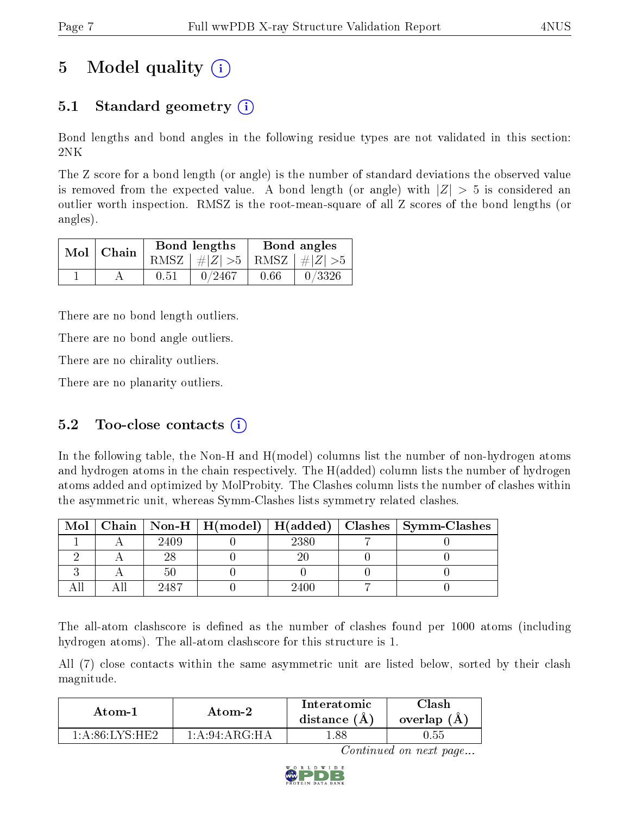# 5 Model quality  $(i)$

### 5.1 Standard geometry  $\overline{()}$

Bond lengths and bond angles in the following residue types are not validated in this section: 2NK

The Z score for a bond length (or angle) is the number of standard deviations the observed value is removed from the expected value. A bond length (or angle) with  $|Z| > 5$  is considered an outlier worth inspection. RMSZ is the root-mean-square of all Z scores of the bond lengths (or angles).

| $Mol$   Chain |      | Bond lengths                    | Bond angles |        |  |
|---------------|------|---------------------------------|-------------|--------|--|
|               |      | RMSZ $ #Z  > 5$ RMSZ $ #Z  > 5$ |             |        |  |
|               | 0.51 | 0/2467                          | 0.66        | 0/3326 |  |

There are no bond length outliers.

There are no bond angle outliers.

There are no chirality outliers.

There are no planarity outliers.

#### 5.2 Too-close contacts  $(i)$

In the following table, the Non-H and H(model) columns list the number of non-hydrogen atoms and hydrogen atoms in the chain respectively. The H(added) column lists the number of hydrogen atoms added and optimized by MolProbity. The Clashes column lists the number of clashes within the asymmetric unit, whereas Symm-Clashes lists symmetry related clashes.

| Mol |      |      | Chain   Non-H   H(model)   H(added)   Clashes   Symm-Clashes |
|-----|------|------|--------------------------------------------------------------|
|     | 2409 | 2380 |                                                              |
|     |      |      |                                                              |
|     |      |      |                                                              |
|     |      | 2400 |                                                              |

The all-atom clashscore is defined as the number of clashes found per 1000 atoms (including hydrogen atoms). The all-atom clashscore for this structure is 1.

All (7) close contacts within the same asymmetric unit are listed below, sorted by their clash magnitude.

| Atom-1           | Atom-2          |     | 7lash-<br>overlap $(A)$ |
|------------------|-----------------|-----|-------------------------|
| $1.4.86$ LYS HE? | 1: A:94: ARG·HA | .88 | 0.55                    |

Continued on next page...

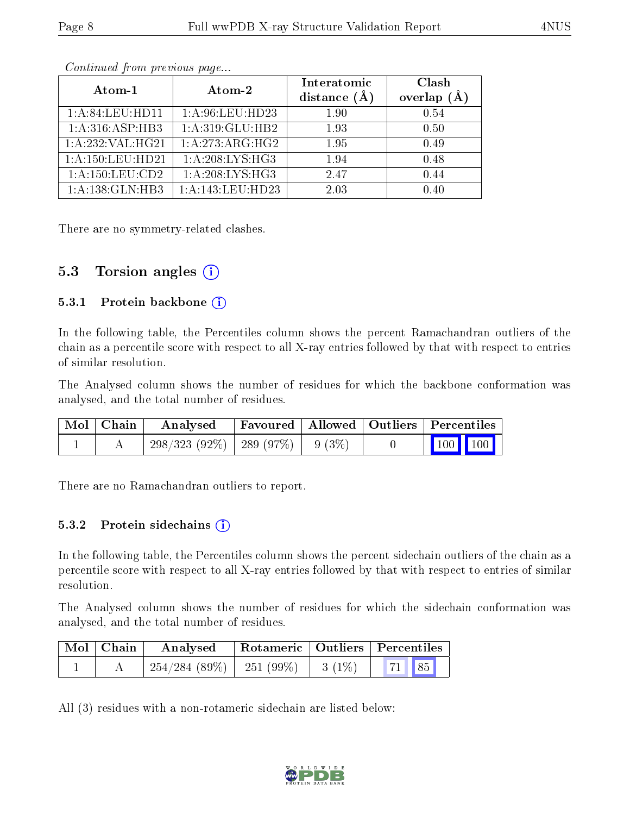|                              | Atom-2                       | Interatomic    | Clash              |
|------------------------------|------------------------------|----------------|--------------------|
| Atom-1                       |                              | distance $(A)$ | $(\AA)$<br>overlap |
| 1: A:84:LEU:HD11             | 1: A:96:LEU:HD23             | 1.90           | 0.54               |
| $1:A:\overline{316:ASP:HB3}$ | 1:A:319:GLU:HB2              | 1.93           | 0.50               |
| 1: A:232:VAL:HG21            | $1:\overline{A}:273:ARG:HG2$ | 1.95           | 0.49               |
| 1:A:150:LEU:HD21             | 1:A:208:LYS:HG3              | 1.94           | 0.48               |
| 1:A:150:LEU:CD2              | 1:A:208:LYS:HG3              | 2.47           | 0.44               |
| 1:A:138:GLN:HB3              | $1:$ A:143:LEU:HD23          | 2.03           | 0.40               |

Continued from previous page...

There are no symmetry-related clashes.

#### 5.3 Torsion angles  $(i)$

#### 5.3.1 Protein backbone  $(i)$

In the following table, the Percentiles column shows the percent Ramachandran outliers of the chain as a percentile score with respect to all X-ray entries followed by that with respect to entries of similar resolution.

The Analysed column shows the number of residues for which the backbone conformation was analysed, and the total number of residues.

| $\mid$ Mol $\mid$ Chain $\mid$ | Analysed Favoured   Allowed   Outliers   Percentiles |  |                                                                                  |  |
|--------------------------------|------------------------------------------------------|--|----------------------------------------------------------------------------------|--|
|                                | $298/323$ (92\%)   289 (97\%)   9 (3\%)              |  | $\begin{array}{ c c c c }\n\hline\n\multicolumn{1}{ c }{100} & 100\n\end{array}$ |  |

There are no Ramachandran outliers to report.

#### 5.3.2 Protein sidechains  $(i)$

In the following table, the Percentiles column shows the percent sidechain outliers of the chain as a percentile score with respect to all X-ray entries followed by that with respect to entries of similar resolution.

The Analysed column shows the number of residues for which the sidechain conformation was analysed, and the total number of residues.

| $\mid$ Mol $\mid$ Chain | Analysed                                | Rotameric   Outliers   Percentiles |       |  |
|-------------------------|-----------------------------------------|------------------------------------|-------|--|
|                         | $254/284$ (89\%)   251 (99\%)   3 (1\%) |                                    | 71 85 |  |

All (3) residues with a non-rotameric sidechain are listed below:

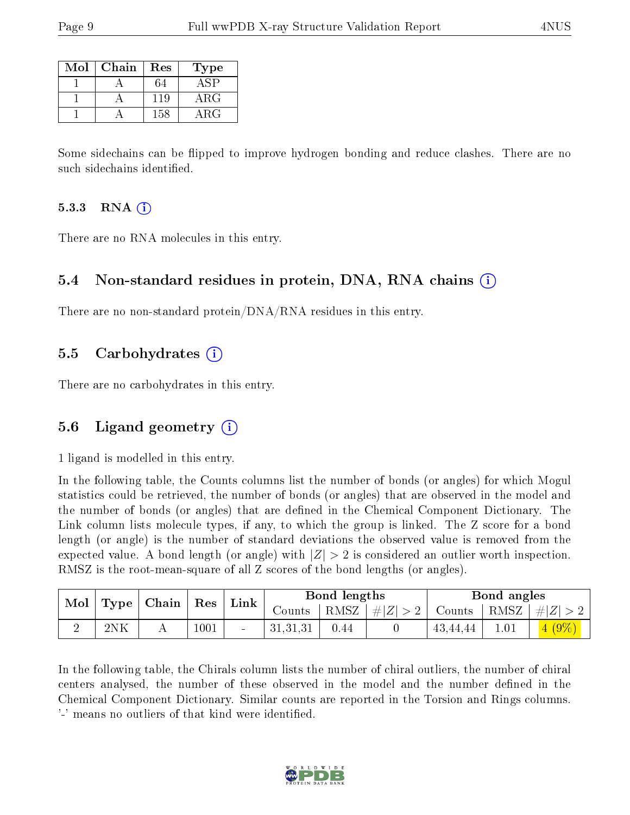| Mol | Chain | Res | 'Type       |
|-----|-------|-----|-------------|
|     |       |     |             |
|     |       | 119 | ${\rm ARG}$ |
|     |       | 158 | ARG         |

Some sidechains can be flipped to improve hydrogen bonding and reduce clashes. There are no such sidechains identified.

#### 5.3.3 RNA  $(i)$

There are no RNA molecules in this entry.

#### 5.4 Non-standard residues in protein, DNA, RNA chains  $(i)$

There are no non-standard protein/DNA/RNA residues in this entry.

#### 5.5 Carbohydrates  $(i)$

There are no carbohydrates in this entry.

#### 5.6 Ligand geometry (i)

1 ligand is modelled in this entry.

In the following table, the Counts columns list the number of bonds (or angles) for which Mogul statistics could be retrieved, the number of bonds (or angles) that are observed in the model and the number of bonds (or angles) that are defined in the Chemical Component Dictionary. The Link column lists molecule types, if any, to which the group is linked. The Z score for a bond length (or angle) is the number of standard deviations the observed value is removed from the expected value. A bond length (or angle) with  $|Z| > 2$  is considered an outlier worth inspection. RMSZ is the root-mean-square of all Z scores of the bond lengths (or angles).

|     | Mol   Type   Chain   Res |      |  |          |      | Link                                                                             |          | Bond lengths |         |  | Bond angles |  |
|-----|--------------------------|------|--|----------|------|----------------------------------------------------------------------------------|----------|--------------|---------|--|-------------|--|
|     |                          |      |  | Counts   |      | $\mid$ RMSZ $\mid$ $\# Z  > 2$ $\mid$ Counts $\mid$ RMSZ $\mid \# Z  > 2$ $\mid$ |          |              |         |  |             |  |
| 2NK |                          | 1001 |  | 31,31,31 | 0.44 |                                                                                  | 43,44,44 |              | $(9\%)$ |  |             |  |

In the following table, the Chirals column lists the number of chiral outliers, the number of chiral centers analysed, the number of these observed in the model and the number defined in the Chemical Component Dictionary. Similar counts are reported in the Torsion and Rings columns. '-' means no outliers of that kind were identified.

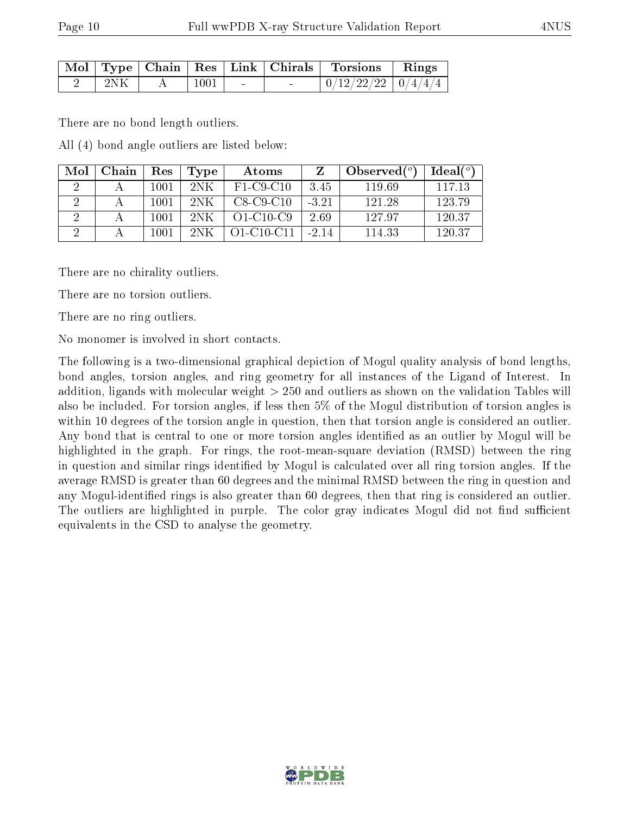|     |      |        | Mol   Type   Chain   Res   Link   Chirals   Torsions   Rings |  |
|-----|------|--------|--------------------------------------------------------------|--|
| 2NK | 1001 | $\sim$ | $\mid 0/12/22/22 \mid 0/4/4/4 \mid$                          |  |

There are no bond length outliers.

All (4) bond angle outliers are listed below:

| Mol | Chain | Res  | Type | Atoms            |         | Observed $(°)$ | Ideal (°) |
|-----|-------|------|------|------------------|---------|----------------|-----------|
|     |       | 1001 | 2NK  | $F1-C9-C10$      | 3.45    | 119.69         | 117.13    |
|     |       | 1001 | 2NK  | $C8-C9-C10$      | $-3.21$ | 121.28         | 123.79    |
|     |       | 1001 | 2NK  | $O1-C10-C9$      | 2.69    | 127.97         | 120.37    |
|     |       | 1001 | 2NK  | $O1 - C10 - C11$ | $-2.14$ | 114.33         | 120.37    |

There are no chirality outliers.

There are no torsion outliers.

There are no ring outliers.

No monomer is involved in short contacts.

The following is a two-dimensional graphical depiction of Mogul quality analysis of bond lengths, bond angles, torsion angles, and ring geometry for all instances of the Ligand of Interest. In addition, ligands with molecular weight > 250 and outliers as shown on the validation Tables will also be included. For torsion angles, if less then 5% of the Mogul distribution of torsion angles is within 10 degrees of the torsion angle in question, then that torsion angle is considered an outlier. Any bond that is central to one or more torsion angles identified as an outlier by Mogul will be highlighted in the graph. For rings, the root-mean-square deviation (RMSD) between the ring in question and similar rings identified by Mogul is calculated over all ring torsion angles. If the average RMSD is greater than 60 degrees and the minimal RMSD between the ring in question and any Mogul-identified rings is also greater than 60 degrees, then that ring is considered an outlier. The outliers are highlighted in purple. The color gray indicates Mogul did not find sufficient equivalents in the CSD to analyse the geometry.

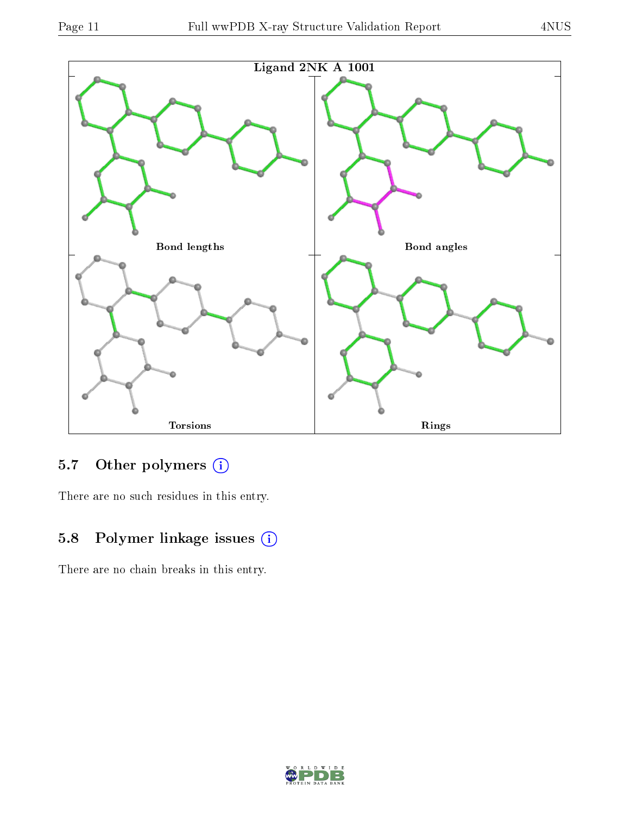

### 5.7 [O](https://www.wwpdb.org/validation/2017/XrayValidationReportHelp#nonstandard_residues_and_ligands)ther polymers (i)

There are no such residues in this entry.

### 5.8 Polymer linkage issues (i)

There are no chain breaks in this entry.

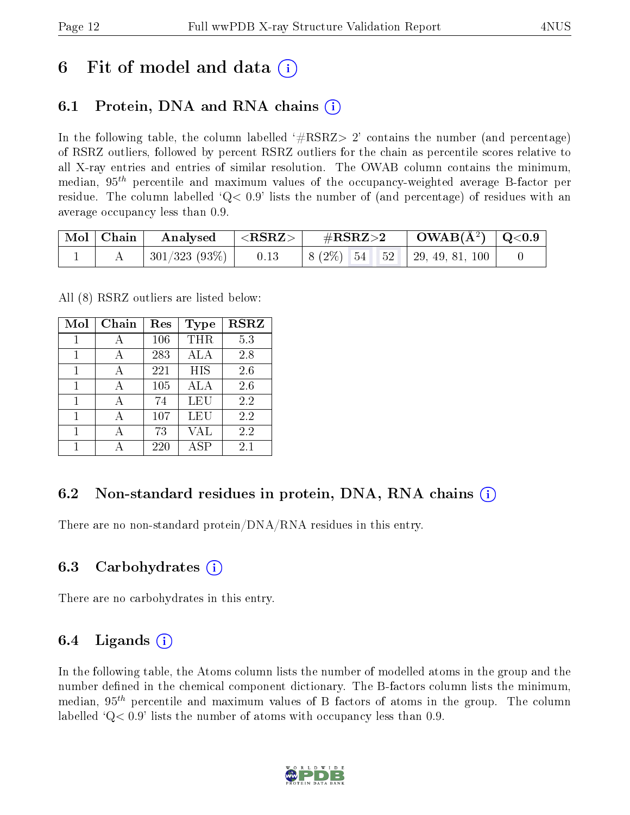### 6 Fit of model and data  $\left( \cdot \right)$

### 6.1 Protein, DNA and RNA chains (i)

In the following table, the column labelled  $#RSRZ>2'$  contains the number (and percentage) of RSRZ outliers, followed by percent RSRZ outliers for the chain as percentile scores relative to all X-ray entries and entries of similar resolution. The OWAB column contains the minimum, median,  $95<sup>th</sup>$  percentile and maximum values of the occupancy-weighted average B-factor per residue. The column labelled  $Q < 0.9$  lists the number of (and percentage) of residues with an average occupancy less than 0.9.

| $\vert$ Mol $\vert$ Chain $\vert$ |                      | $\mid$ Analysed $ \langle \mathrm{RSRZ}\rangle\mid$ # $\mathrm{RSRZ}\!\!>\!2$ |  | $\vert$ OWAB( $\rm{\AA}^2$ ) $\vert$ Q<0.9 $\vert$ |  |
|-----------------------------------|----------------------|-------------------------------------------------------------------------------|--|----------------------------------------------------|--|
|                                   | 301/323 (93%)   0.13 |                                                                               |  | $\vert 8 (2\%) 54 52 \vert 29, 49, 81, 100 \vert$  |  |

All (8) RSRZ outliers are listed below:

| Mol | Chain | Res | <b>Type</b> | <b>RSRZ</b> |
|-----|-------|-----|-------------|-------------|
| 1   | А     | 106 | THR         | 5.3         |
| 1   |       | 283 | ALA         | 2.8         |
| 1   | А     | 221 | HIS         | 2.6         |
| 1   |       | 105 | ALA         | 2.6         |
| 1   |       | 74  | LEU         | 2.2         |
| 1   |       | 107 | <b>LEU</b>  | 2.2         |
|     |       | 73  | VAL         | 2.2         |
|     |       | 220 | ASP         | $2.1\,$     |

#### 6.2 Non-standard residues in protein, DNA, RNA chains  $(i)$

There are no non-standard protein/DNA/RNA residues in this entry.

#### 6.3 Carbohydrates (i)

There are no carbohydrates in this entry.

#### 6.4 Ligands  $(i)$

In the following table, the Atoms column lists the number of modelled atoms in the group and the number defined in the chemical component dictionary. The B-factors column lists the minimum, median,  $95<sup>th</sup>$  percentile and maximum values of B factors of atoms in the group. The column labelled  $Q< 0.9$ ' lists the number of atoms with occupancy less than 0.9.